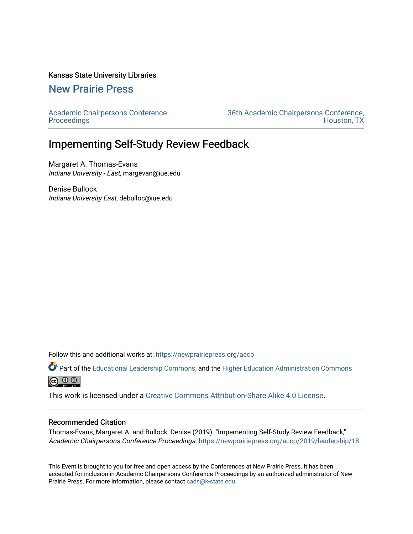### Kansas State University Libraries

## [New Prairie Press](https://newprairiepress.org/)

[Academic Chairpersons Conference](https://newprairiepress.org/accp)  **Proceedings** 

[36th Academic Chairpersons Conference,](https://newprairiepress.org/accp/2019)  [Houston, TX](https://newprairiepress.org/accp/2019) 

# Impementing Self-Study Review Feedback

Margaret A. Thomas-Evans Indiana University - East, margevan@iue.edu

Denise Bullock Indiana University East, debulloc@iue.edu

Follow this and additional works at: [https://newprairiepress.org/accp](https://newprairiepress.org/accp?utm_source=newprairiepress.org%2Faccp%2F2019%2Fleadership%2F18&utm_medium=PDF&utm_campaign=PDFCoverPages) 

Part of the [Educational Leadership Commons,](http://network.bepress.com/hgg/discipline/1230?utm_source=newprairiepress.org%2Faccp%2F2019%2Fleadership%2F18&utm_medium=PDF&utm_campaign=PDFCoverPages) and the [Higher Education Administration Commons](http://network.bepress.com/hgg/discipline/791?utm_source=newprairiepress.org%2Faccp%2F2019%2Fleadership%2F18&utm_medium=PDF&utm_campaign=PDFCoverPages)  $\circledcirc$ 

This work is licensed under a [Creative Commons Attribution-Share Alike 4.0 License.](https://creativecommons.org/licenses/by-sa/4.0/)

### Recommended Citation

Thomas-Evans, Margaret A. and Bullock, Denise (2019). "Impementing Self-Study Review Feedback," Academic Chairpersons Conference Proceedings. <https://newprairiepress.org/accp/2019/leadership/18>

This Event is brought to you for free and open access by the Conferences at New Prairie Press. It has been accepted for inclusion in Academic Chairpersons Conference Proceedings by an authorized administrator of New Prairie Press. For more information, please contact [cads@k-state.edu.](mailto:cads@k-state.edu)